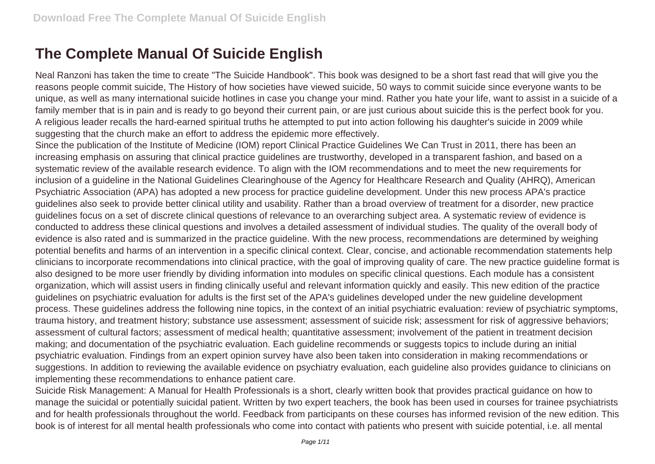## **The Complete Manual Of Suicide English**

Neal Ranzoni has taken the time to create "The Suicide Handbook". This book was designed to be a short fast read that will give you the reasons people commit suicide, The History of how societies have viewed suicide, 50 ways to commit suicide since everyone wants to be unique, as well as many international suicide hotlines in case you change your mind. Rather you hate your life, want to assist in a suicide of a family member that is in pain and is ready to go beyond their current pain, or are just curious about suicide this is the perfect book for you. A religious leader recalls the hard-earned spiritual truths he attempted to put into action following his daughter's suicide in 2009 while suggesting that the church make an effort to address the epidemic more effectively.

Since the publication of the Institute of Medicine (IOM) report Clinical Practice Guidelines We Can Trust in 2011, there has been an increasing emphasis on assuring that clinical practice guidelines are trustworthy, developed in a transparent fashion, and based on a systematic review of the available research evidence. To align with the IOM recommendations and to meet the new requirements for inclusion of a guideline in the National Guidelines Clearinghouse of the Agency for Healthcare Research and Quality (AHRQ), American Psychiatric Association (APA) has adopted a new process for practice guideline development. Under this new process APA's practice guidelines also seek to provide better clinical utility and usability. Rather than a broad overview of treatment for a disorder, new practice guidelines focus on a set of discrete clinical questions of relevance to an overarching subject area. A systematic review of evidence is conducted to address these clinical questions and involves a detailed assessment of individual studies. The quality of the overall body of evidence is also rated and is summarized in the practice guideline. With the new process, recommendations are determined by weighing potential benefits and harms of an intervention in a specific clinical context. Clear, concise, and actionable recommendation statements help clinicians to incorporate recommendations into clinical practice, with the goal of improving quality of care. The new practice guideline format is also designed to be more user friendly by dividing information into modules on specific clinical questions. Each module has a consistent organization, which will assist users in finding clinically useful and relevant information quickly and easily. This new edition of the practice guidelines on psychiatric evaluation for adults is the first set of the APA's guidelines developed under the new guideline development process. These guidelines address the following nine topics, in the context of an initial psychiatric evaluation: review of psychiatric symptoms, trauma history, and treatment history; substance use assessment; assessment of suicide risk; assessment for risk of aggressive behaviors; assessment of cultural factors; assessment of medical health; quantitative assessment; involvement of the patient in treatment decision making; and documentation of the psychiatric evaluation. Each guideline recommends or suggests topics to include during an initial psychiatric evaluation. Findings from an expert opinion survey have also been taken into consideration in making recommendations or suggestions. In addition to reviewing the available evidence on psychiatry evaluation, each guideline also provides guidance to clinicians on implementing these recommendations to enhance patient care.

Suicide Risk Management: A Manual for Health Professionals is a short, clearly written book that provides practical guidance on how to manage the suicidal or potentially suicidal patient. Written by two expert teachers, the book has been used in courses for trainee psychiatrists and for health professionals throughout the world. Feedback from participants on these courses has informed revision of the new edition. This book is of interest for all mental health professionals who come into contact with patients who present with suicide potential, i.e. all mental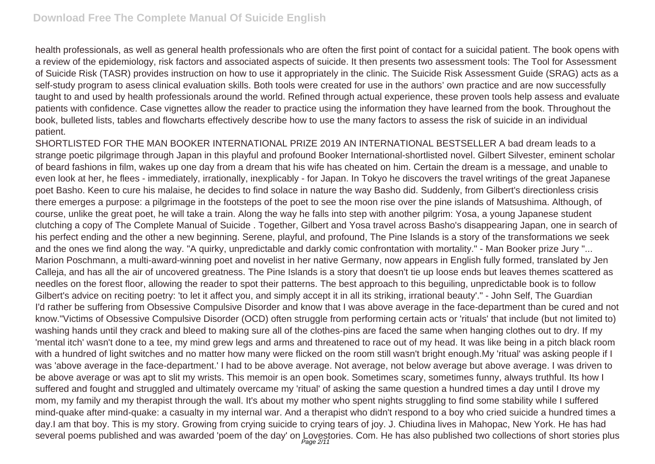health professionals, as well as general health professionals who are often the first point of contact for a suicidal patient. The book opens with a review of the epidemiology, risk factors and associated aspects of suicide. It then presents two assessment tools: The Tool for Assessment of Suicide Risk (TASR) provides instruction on how to use it appropriately in the clinic. The Suicide Risk Assessment Guide (SRAG) acts as a self-study program to asess clinical evaluation skills. Both tools were created for use in the authors' own practice and are now successfully taught to and used by health professionals around the world. Refined through actual experience, these proven tools help assess and evaluate patients with confidence. Case vignettes allow the reader to practice using the information they have learned from the book. Throughout the book, bulleted lists, tables and flowcharts effectively describe how to use the many factors to assess the risk of suicide in an individual patient.

SHORTLISTED FOR THE MAN BOOKER INTERNATIONAL PRIZE 2019 AN INTERNATIONAL BESTSELLER A bad dream leads to a strange poetic pilgrimage through Japan in this playful and profound Booker International-shortlisted novel. Gilbert Silvester, eminent scholar of beard fashions in film, wakes up one day from a dream that his wife has cheated on him. Certain the dream is a message, and unable to even look at her, he flees - immediately, irrationally, inexplicably - for Japan. In Tokyo he discovers the travel writings of the great Japanese poet Basho. Keen to cure his malaise, he decides to find solace in nature the way Basho did. Suddenly, from Gilbert's directionless crisis there emerges a purpose: a pilgrimage in the footsteps of the poet to see the moon rise over the pine islands of Matsushima. Although, of course, unlike the great poet, he will take a train. Along the way he falls into step with another pilgrim: Yosa, a young Japanese student clutching a copy of The Complete Manual of Suicide . Together, Gilbert and Yosa travel across Basho's disappearing Japan, one in search of his perfect ending and the other a new beginning. Serene, playful, and profound, The Pine Islands is a story of the transformations we seek and the ones we find along the way. "A quirky, unpredictable and darkly comic confrontation with mortality." - Man Booker prize Jury "... Marion Poschmann, a multi-award-winning poet and novelist in her native Germany, now appears in English fully formed, translated by Jen Calleja, and has all the air of uncovered greatness. The Pine Islands is a story that doesn't tie up loose ends but leaves themes scattered as needles on the forest floor, allowing the reader to spot their patterns. The best approach to this beguiling, unpredictable book is to follow Gilbert's advice on reciting poetry: 'to let it affect you, and simply accept it in all its striking, irrational beauty'." - John Self, The Guardian I'd rather be suffering from Obsessive Compulsive Disorder and know that I was above average in the face-department than be cured and not know."Victims of Obsessive Compulsive Disorder (OCD) often struggle from performing certain acts or 'rituals' that include (but not limited to) washing hands until they crack and bleed to making sure all of the clothes-pins are faced the same when hanging clothes out to dry. If my 'mental itch' wasn't done to a tee, my mind grew legs and arms and threatened to race out of my head. It was like being in a pitch black room with a hundred of light switches and no matter how many were flicked on the room still wasn't bright enough.My 'ritual' was asking people if I was 'above average in the face-department.' I had to be above average. Not average, not below average but above average. I was driven to be above average or was apt to slit my wrists. This memoir is an open book. Sometimes scary, sometimes funny, always truthful. Its how I suffered and fought and struggled and ultimately overcame my 'ritual' of asking the same question a hundred times a day until I drove my mom, my family and my therapist through the wall. It's about my mother who spent nights struggling to find some stability while I suffered mind-quake after mind-quake: a casualty in my internal war. And a therapist who didn't respond to a boy who cried suicide a hundred times a day.I am that boy. This is my story. Growing from crying suicide to crying tears of joy. J. Chiudina lives in Mahopac, New York. He has had several poems published and was awarded 'poem of the day' on Lovestories. Com. He has also published two collections of short stories plus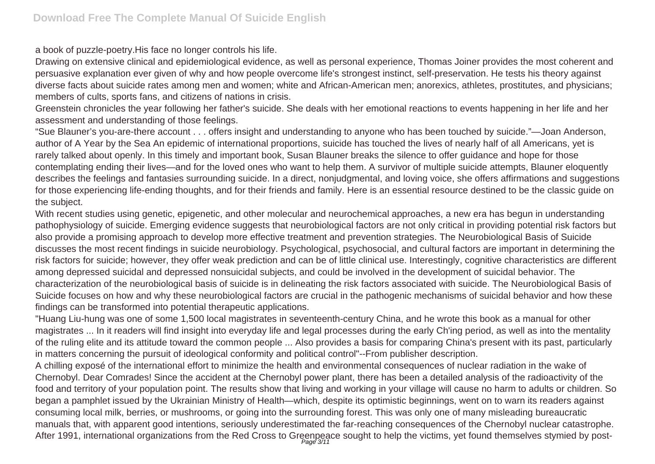a book of puzzle-poetry.His face no longer controls his life.

Drawing on extensive clinical and epidemiological evidence, as well as personal experience, Thomas Joiner provides the most coherent and persuasive explanation ever given of why and how people overcome life's strongest instinct, self-preservation. He tests his theory against diverse facts about suicide rates among men and women; white and African-American men; anorexics, athletes, prostitutes, and physicians; members of cults, sports fans, and citizens of nations in crisis.

Greenstein chronicles the year following her father's suicide. She deals with her emotional reactions to events happening in her life and her assessment and understanding of those feelings.

"Sue Blauner's you-are-there account . . . offers insight and understanding to anyone who has been touched by suicide."—Joan Anderson, author of A Year by the Sea An epidemic of international proportions, suicide has touched the lives of nearly half of all Americans, yet is rarely talked about openly. In this timely and important book, Susan Blauner breaks the silence to offer guidance and hope for those contemplating ending their lives—and for the loved ones who want to help them. A survivor of multiple suicide attempts, Blauner eloquently describes the feelings and fantasies surrounding suicide. In a direct, nonjudgmental, and loving voice, she offers affirmations and suggestions for those experiencing life-ending thoughts, and for their friends and family. Here is an essential resource destined to be the classic guide on the subject.

With recent studies using genetic, epigenetic, and other molecular and neurochemical approaches, a new era has begun in understanding pathophysiology of suicide. Emerging evidence suggests that neurobiological factors are not only critical in providing potential risk factors but also provide a promising approach to develop more effective treatment and prevention strategies. The Neurobiological Basis of Suicide discusses the most recent findings in suicide neurobiology. Psychological, psychosocial, and cultural factors are important in determining the risk factors for suicide; however, they offer weak prediction and can be of little clinical use. Interestingly, cognitive characteristics are different among depressed suicidal and depressed nonsuicidal subjects, and could be involved in the development of suicidal behavior. The characterization of the neurobiological basis of suicide is in delineating the risk factors associated with suicide. The Neurobiological Basis of Suicide focuses on how and why these neurobiological factors are crucial in the pathogenic mechanisms of suicidal behavior and how these findings can be transformed into potential therapeutic applications.

"Huang Liu-hung was one of some 1,500 local magistrates in seventeenth-century China, and he wrote this book as a manual for other magistrates ... In it readers will find insight into everyday life and legal processes during the early Ch'ing period, as well as into the mentality of the ruling elite and its attitude toward the common people ... Also provides a basis for comparing China's present with its past, particularly in matters concerning the pursuit of ideological conformity and political control"--From publisher description.

A chilling exposé of the international effort to minimize the health and environmental consequences of nuclear radiation in the wake of Chernobyl. Dear Comrades! Since the accident at the Chernobyl power plant, there has been a detailed analysis of the radioactivity of the food and territory of your population point. The results show that living and working in your village will cause no harm to adults or children. So began a pamphlet issued by the Ukrainian Ministry of Health—which, despite its optimistic beginnings, went on to warn its readers against consuming local milk, berries, or mushrooms, or going into the surrounding forest. This was only one of many misleading bureaucratic manuals that, with apparent good intentions, seriously underestimated the far-reaching consequences of the Chernobyl nuclear catastrophe. After 1991, international organizations from the Red Cross to Greenpeace sought to help the victims, yet found themselves stymied by post-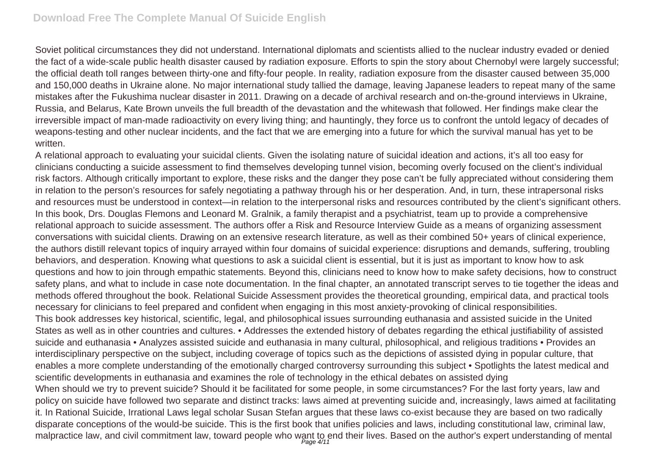## **Download Free The Complete Manual Of Suicide English**

Soviet political circumstances they did not understand. International diplomats and scientists allied to the nuclear industry evaded or denied the fact of a wide-scale public health disaster caused by radiation exposure. Efforts to spin the story about Chernobyl were largely successful; the official death toll ranges between thirty-one and fifty-four people. In reality, radiation exposure from the disaster caused between 35,000 and 150,000 deaths in Ukraine alone. No major international study tallied the damage, leaving Japanese leaders to repeat many of the same mistakes after the Fukushima nuclear disaster in 2011. Drawing on a decade of archival research and on-the-ground interviews in Ukraine, Russia, and Belarus, Kate Brown unveils the full breadth of the devastation and the whitewash that followed. Her findings make clear the irreversible impact of man-made radioactivity on every living thing; and hauntingly, they force us to confront the untold legacy of decades of weapons-testing and other nuclear incidents, and the fact that we are emerging into a future for which the survival manual has yet to be written

A relational approach to evaluating your suicidal clients. Given the isolating nature of suicidal ideation and actions, it's all too easy for clinicians conducting a suicide assessment to find themselves developing tunnel vision, becoming overly focused on the client's individual risk factors. Although critically important to explore, these risks and the danger they pose can't be fully appreciated without considering them in relation to the person's resources for safely negotiating a pathway through his or her desperation. And, in turn, these intrapersonal risks and resources must be understood in context—in relation to the interpersonal risks and resources contributed by the client's significant others. In this book, Drs. Douglas Flemons and Leonard M. Gralnik, a family therapist and a psychiatrist, team up to provide a comprehensive relational approach to suicide assessment. The authors offer a Risk and Resource Interview Guide as a means of organizing assessment conversations with suicidal clients. Drawing on an extensive research literature, as well as their combined 50+ years of clinical experience, the authors distill relevant topics of inquiry arrayed within four domains of suicidal experience: disruptions and demands, suffering, troubling behaviors, and desperation. Knowing what questions to ask a suicidal client is essential, but it is just as important to know how to ask questions and how to join through empathic statements. Beyond this, clinicians need to know how to make safety decisions, how to construct safety plans, and what to include in case note documentation. In the final chapter, an annotated transcript serves to tie together the ideas and methods offered throughout the book. Relational Suicide Assessment provides the theoretical grounding, empirical data, and practical tools necessary for clinicians to feel prepared and confident when engaging in this most anxiety-provoking of clinical responsibilities. This book addresses key historical, scientific, legal, and philosophical issues surrounding euthanasia and assisted suicide in the United States as well as in other countries and cultures. • Addresses the extended history of debates regarding the ethical justifiability of assisted suicide and euthanasia • Analyzes assisted suicide and euthanasia in many cultural, philosophical, and religious traditions • Provides an interdisciplinary perspective on the subject, including coverage of topics such as the depictions of assisted dying in popular culture, that enables a more complete understanding of the emotionally charged controversy surrounding this subject • Spotlights the latest medical and scientific developments in euthanasia and examines the role of technology in the ethical debates on assisted dying When should we try to prevent suicide? Should it be facilitated for some people, in some circumstances? For the last forty years, law and policy on suicide have followed two separate and distinct tracks: laws aimed at preventing suicide and, increasingly, laws aimed at facilitating it. In Rational Suicide, Irrational Laws legal scholar Susan Stefan argues that these laws co-exist because they are based on two radically disparate conceptions of the would-be suicide. This is the first book that unifies policies and laws, including constitutional law, criminal law, malpractice law, and civil commitment law, toward people who want to end their lives. Based on the author's expert understanding of mental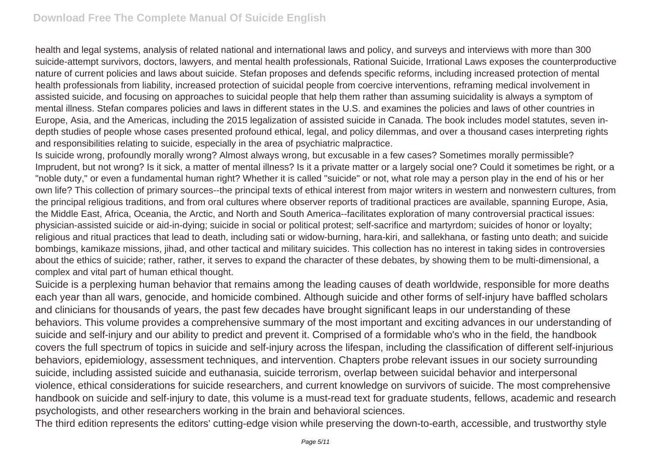health and legal systems, analysis of related national and international laws and policy, and surveys and interviews with more than 300 suicide-attempt survivors, doctors, lawyers, and mental health professionals, Rational Suicide, Irrational Laws exposes the counterproductive nature of current policies and laws about suicide. Stefan proposes and defends specific reforms, including increased protection of mental health professionals from liability, increased protection of suicidal people from coercive interventions, reframing medical involvement in assisted suicide, and focusing on approaches to suicidal people that help them rather than assuming suicidality is always a symptom of mental illness. Stefan compares policies and laws in different states in the U.S. and examines the policies and laws of other countries in Europe, Asia, and the Americas, including the 2015 legalization of assisted suicide in Canada. The book includes model statutes, seven indepth studies of people whose cases presented profound ethical, legal, and policy dilemmas, and over a thousand cases interpreting rights and responsibilities relating to suicide, especially in the area of psychiatric malpractice.

Is suicide wrong, profoundly morally wrong? Almost always wrong, but excusable in a few cases? Sometimes morally permissible? Imprudent, but not wrong? Is it sick, a matter of mental illness? Is it a private matter or a largely social one? Could it sometimes be right, or a "noble duty," or even a fundamental human right? Whether it is called "suicide" or not, what role may a person play in the end of his or her own life? This collection of primary sources--the principal texts of ethical interest from major writers in western and nonwestern cultures, from the principal religious traditions, and from oral cultures where observer reports of traditional practices are available, spanning Europe, Asia, the Middle East, Africa, Oceania, the Arctic, and North and South America--facilitates exploration of many controversial practical issues: physician-assisted suicide or aid-in-dying; suicide in social or political protest; self-sacrifice and martyrdom; suicides of honor or loyalty; religious and ritual practices that lead to death, including sati or widow-burning, hara-kiri, and sallekhana, or fasting unto death; and suicide bombings, kamikaze missions, jihad, and other tactical and military suicides. This collection has no interest in taking sides in controversies about the ethics of suicide; rather, rather, it serves to expand the character of these debates, by showing them to be multi-dimensional, a complex and vital part of human ethical thought.

Suicide is a perplexing human behavior that remains among the leading causes of death worldwide, responsible for more deaths each year than all wars, genocide, and homicide combined. Although suicide and other forms of self-injury have baffled scholars and clinicians for thousands of years, the past few decades have brought significant leaps in our understanding of these behaviors. This volume provides a comprehensive summary of the most important and exciting advances in our understanding of suicide and self-injury and our ability to predict and prevent it. Comprised of a formidable who's who in the field, the handbook covers the full spectrum of topics in suicide and self-injury across the lifespan, including the classification of different self-injurious behaviors, epidemiology, assessment techniques, and intervention. Chapters probe relevant issues in our society surrounding suicide, including assisted suicide and euthanasia, suicide terrorism, overlap between suicidal behavior and interpersonal violence, ethical considerations for suicide researchers, and current knowledge on survivors of suicide. The most comprehensive handbook on suicide and self-injury to date, this volume is a must-read text for graduate students, fellows, academic and research psychologists, and other researchers working in the brain and behavioral sciences.

The third edition represents the editors' cutting-edge vision while preserving the down-to-earth, accessible, and trustworthy style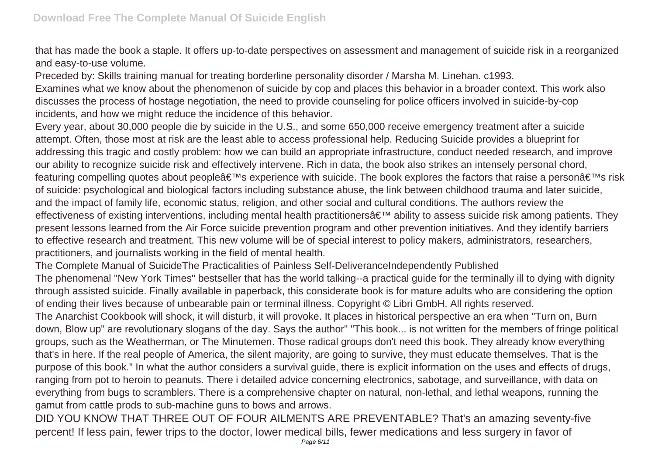that has made the book a staple. It offers up-to-date perspectives on assessment and management of suicide risk in a reorganized and easy-to-use volume.

Preceded by: Skills training manual for treating borderline personality disorder / Marsha M. Linehan. c1993.

Examines what we know about the phenomenon of suicide by cop and places this behavior in a broader context. This work also discusses the process of hostage negotiation, the need to provide counseling for police officers involved in suicide-by-cop incidents, and how we might reduce the incidence of this behavior.

Every year, about 30,000 people die by suicide in the U.S., and some 650,000 receive emergency treatment after a suicide attempt. Often, those most at risk are the least able to access professional help. Reducing Suicide provides a blueprint for addressing this tragic and costly problem: how we can build an appropriate infrastructure, conduct needed research, and improve our ability to recognize suicide risk and effectively intervene. Rich in data, the book also strikes an intensely personal chord, featuring compelling quotes about people $\hat{a} \in T^M$ s experience with suicide. The book explores the factors that raise a person $\hat{a} \in T^M$ s risk of suicide: psychological and biological factors including substance abuse, the link between childhood trauma and later suicide, and the impact of family life, economic status, religion, and other social and cultural conditions. The authors review the effectiveness of existing interventions, including mental health practitioners' ability to assess suicide risk among patients. They present lessons learned from the Air Force suicide prevention program and other prevention initiatives. And they identify barriers to effective research and treatment. This new volume will be of special interest to policy makers, administrators, researchers, practitioners, and journalists working in the field of mental health.

The Complete Manual of SuicideThe Practicalities of Painless Self-DeliveranceIndependently Published

The phenomenal "New York Times" bestseller that has the world talking--a practical guide for the terminally ill to dying with dignity through assisted suicide. Finally available in paperback, this considerate book is for mature adults who are considering the option of ending their lives because of unbearable pain or terminal illness. Copyright © Libri GmbH. All rights reserved.

The Anarchist Cookbook will shock, it will disturb, it will provoke. It places in historical perspective an era when "Turn on, Burn down, Blow up" are revolutionary slogans of the day. Says the author" "This book... is not written for the members of fringe political groups, such as the Weatherman, or The Minutemen. Those radical groups don't need this book. They already know everything that's in here. If the real people of America, the silent majority, are going to survive, they must educate themselves. That is the purpose of this book." In what the author considers a survival guide, there is explicit information on the uses and effects of drugs, ranging from pot to heroin to peanuts. There i detailed advice concerning electronics, sabotage, and surveillance, with data on everything from bugs to scramblers. There is a comprehensive chapter on natural, non-lethal, and lethal weapons, running the gamut from cattle prods to sub-machine guns to bows and arrows.

DID YOU KNOW THAT THREE OUT OF FOUR AILMENTS ARE PREVENTABLE? That's an amazing seventy-five percent! If less pain, fewer trips to the doctor, lower medical bills, fewer medications and less surgery in favor of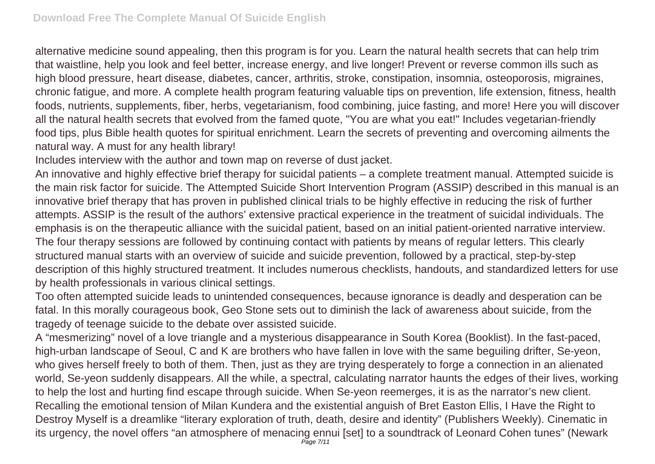alternative medicine sound appealing, then this program is for you. Learn the natural health secrets that can help trim that waistline, help you look and feel better, increase energy, and live longer! Prevent or reverse common ills such as high blood pressure, heart disease, diabetes, cancer, arthritis, stroke, constipation, insomnia, osteoporosis, migraines, chronic fatigue, and more. A complete health program featuring valuable tips on prevention, life extension, fitness, health foods, nutrients, supplements, fiber, herbs, vegetarianism, food combining, juice fasting, and more! Here you will discover all the natural health secrets that evolved from the famed quote, "You are what you eat!" Includes vegetarian-friendly food tips, plus Bible health quotes for spiritual enrichment. Learn the secrets of preventing and overcoming ailments the natural way. A must for any health library!

Includes interview with the author and town map on reverse of dust jacket.

An innovative and highly effective brief therapy for suicidal patients – a complete treatment manual. Attempted suicide is the main risk factor for suicide. The Attempted Suicide Short Intervention Program (ASSIP) described in this manual is an innovative brief therapy that has proven in published clinical trials to be highly effective in reducing the risk of further attempts. ASSIP is the result of the authors' extensive practical experience in the treatment of suicidal individuals. The emphasis is on the therapeutic alliance with the suicidal patient, based on an initial patient-oriented narrative interview. The four therapy sessions are followed by continuing contact with patients by means of regular letters. This clearly structured manual starts with an overview of suicide and suicide prevention, followed by a practical, step-by-step description of this highly structured treatment. It includes numerous checklists, handouts, and standardized letters for use by health professionals in various clinical settings.

Too often attempted suicide leads to unintended consequences, because ignorance is deadly and desperation can be fatal. In this morally courageous book, Geo Stone sets out to diminish the lack of awareness about suicide, from the tragedy of teenage suicide to the debate over assisted suicide.

A "mesmerizing" novel of a love triangle and a mysterious disappearance in South Korea (Booklist). In the fast-paced, high-urban landscape of Seoul, C and K are brothers who have fallen in love with the same beguiling drifter, Se-yeon, who gives herself freely to both of them. Then, just as they are trying desperately to forge a connection in an alienated world, Se-yeon suddenly disappears. All the while, a spectral, calculating narrator haunts the edges of their lives, working to help the lost and hurting find escape through suicide. When Se-yeon reemerges, it is as the narrator's new client. Recalling the emotional tension of Milan Kundera and the existential anguish of Bret Easton Ellis, I Have the Right to Destroy Myself is a dreamlike "literary exploration of truth, death, desire and identity" (Publishers Weekly). Cinematic in its urgency, the novel offers "an atmosphere of menacing ennui [set] to a soundtrack of Leonard Cohen tunes" (Newark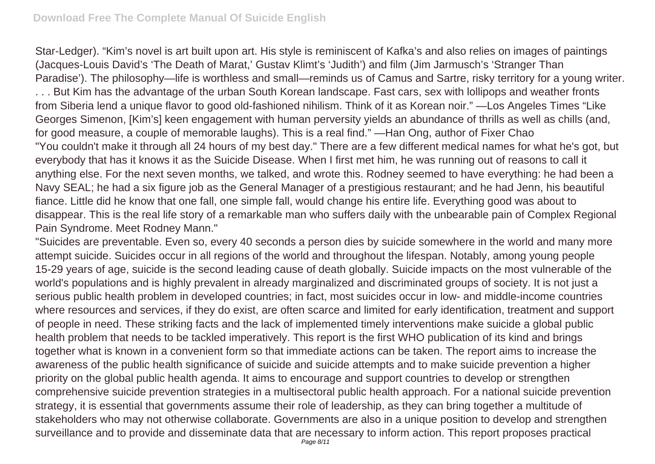Star-Ledger). "Kim's novel is art built upon art. His style is reminiscent of Kafka's and also relies on images of paintings (Jacques-Louis David's 'The Death of Marat,' Gustav Klimt's 'Judith') and film (Jim Jarmusch's 'Stranger Than Paradise'). The philosophy—life is worthless and small—reminds us of Camus and Sartre, risky territory for a young writer. . . . But Kim has the advantage of the urban South Korean landscape. Fast cars, sex with lollipops and weather fronts from Siberia lend a unique flavor to good old-fashioned nihilism. Think of it as Korean noir." —Los Angeles Times "Like Georges Simenon, [Kim's] keen engagement with human perversity yields an abundance of thrills as well as chills (and, for good measure, a couple of memorable laughs). This is a real find." —Han Ong, author of Fixer Chao "You couldn't make it through all 24 hours of my best day." There are a few different medical names for what he's got, but everybody that has it knows it as the Suicide Disease. When I first met him, he was running out of reasons to call it anything else. For the next seven months, we talked, and wrote this. Rodney seemed to have everything: he had been a Navy SEAL; he had a six figure job as the General Manager of a prestigious restaurant; and he had Jenn, his beautiful fiance. Little did he know that one fall, one simple fall, would change his entire life. Everything good was about to disappear. This is the real life story of a remarkable man who suffers daily with the unbearable pain of Complex Regional Pain Syndrome. Meet Rodney Mann."

"Suicides are preventable. Even so, every 40 seconds a person dies by suicide somewhere in the world and many more attempt suicide. Suicides occur in all regions of the world and throughout the lifespan. Notably, among young people 15-29 years of age, suicide is the second leading cause of death globally. Suicide impacts on the most vulnerable of the world's populations and is highly prevalent in already marginalized and discriminated groups of society. It is not just a serious public health problem in developed countries; in fact, most suicides occur in low- and middle-income countries where resources and services, if they do exist, are often scarce and limited for early identification, treatment and support of people in need. These striking facts and the lack of implemented timely interventions make suicide a global public health problem that needs to be tackled imperatively. This report is the first WHO publication of its kind and brings together what is known in a convenient form so that immediate actions can be taken. The report aims to increase the awareness of the public health significance of suicide and suicide attempts and to make suicide prevention a higher priority on the global public health agenda. It aims to encourage and support countries to develop or strengthen comprehensive suicide prevention strategies in a multisectoral public health approach. For a national suicide prevention strategy, it is essential that governments assume their role of leadership, as they can bring together a multitude of stakeholders who may not otherwise collaborate. Governments are also in a unique position to develop and strengthen surveillance and to provide and disseminate data that are necessary to inform action. This report proposes practical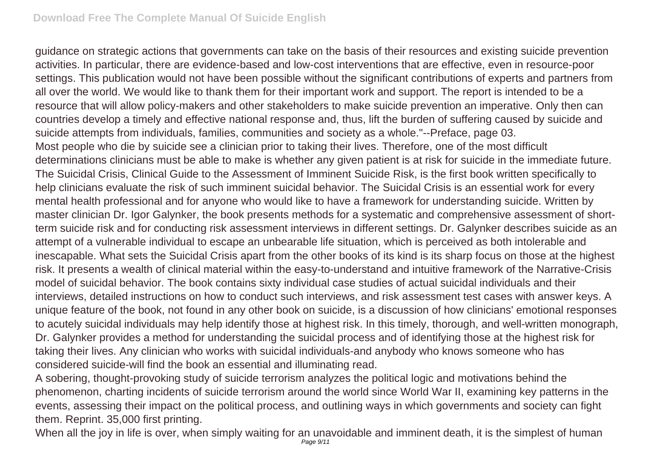guidance on strategic actions that governments can take on the basis of their resources and existing suicide prevention activities. In particular, there are evidence-based and low-cost interventions that are effective, even in resource-poor settings. This publication would not have been possible without the significant contributions of experts and partners from all over the world. We would like to thank them for their important work and support. The report is intended to be a resource that will allow policy-makers and other stakeholders to make suicide prevention an imperative. Only then can countries develop a timely and effective national response and, thus, lift the burden of suffering caused by suicide and suicide attempts from individuals, families, communities and society as a whole."--Preface, page 03. Most people who die by suicide see a clinician prior to taking their lives. Therefore, one of the most difficult determinations clinicians must be able to make is whether any given patient is at risk for suicide in the immediate future. The Suicidal Crisis, Clinical Guide to the Assessment of Imminent Suicide Risk, is the first book written specifically to help clinicians evaluate the risk of such imminent suicidal behavior. The Suicidal Crisis is an essential work for every mental health professional and for anyone who would like to have a framework for understanding suicide. Written by master clinician Dr. Igor Galynker, the book presents methods for a systematic and comprehensive assessment of shortterm suicide risk and for conducting risk assessment interviews in different settings. Dr. Galynker describes suicide as an attempt of a vulnerable individual to escape an unbearable life situation, which is perceived as both intolerable and inescapable. What sets the Suicidal Crisis apart from the other books of its kind is its sharp focus on those at the highest risk. It presents a wealth of clinical material within the easy-to-understand and intuitive framework of the Narrative-Crisis model of suicidal behavior. The book contains sixty individual case studies of actual suicidal individuals and their interviews, detailed instructions on how to conduct such interviews, and risk assessment test cases with answer keys. A unique feature of the book, not found in any other book on suicide, is a discussion of how clinicians' emotional responses to acutely suicidal individuals may help identify those at highest risk. In this timely, thorough, and well-written monograph, Dr. Galynker provides a method for understanding the suicidal process and of identifying those at the highest risk for taking their lives. Any clinician who works with suicidal individuals-and anybody who knows someone who has considered suicide-will find the book an essential and illuminating read.

A sobering, thought-provoking study of suicide terrorism analyzes the political logic and motivations behind the phenomenon, charting incidents of suicide terrorism around the world since World War II, examining key patterns in the events, assessing their impact on the political process, and outlining ways in which governments and society can fight them. Reprint. 35,000 first printing.

When all the joy in life is over, when simply waiting for an unavoidable and imminent death, it is the simplest of human Page 9/11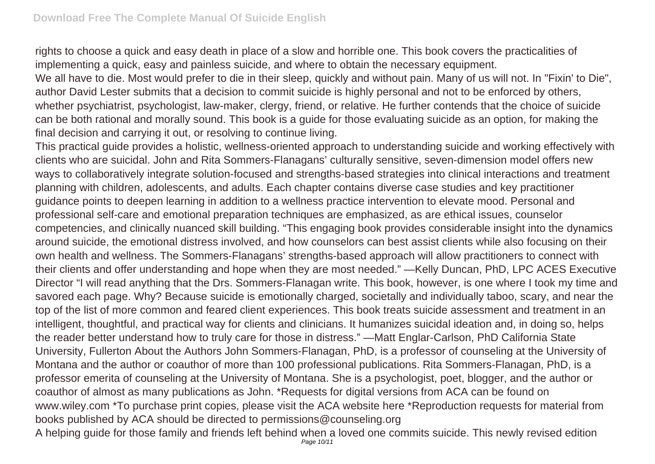rights to choose a quick and easy death in place of a slow and horrible one. This book covers the practicalities of implementing a quick, easy and painless suicide, and where to obtain the necessary equipment.

We all have to die. Most would prefer to die in their sleep, quickly and without pain. Many of us will not. In "Fixin' to Die", author David Lester submits that a decision to commit suicide is highly personal and not to be enforced by others, whether psychiatrist, psychologist, law-maker, clergy, friend, or relative. He further contends that the choice of suicide can be both rational and morally sound. This book is a guide for those evaluating suicide as an option, for making the final decision and carrying it out, or resolving to continue living.

This practical guide provides a holistic, wellness-oriented approach to understanding suicide and working effectively with clients who are suicidal. John and Rita Sommers-Flanagans' culturally sensitive, seven-dimension model offers new ways to collaboratively integrate solution-focused and strengths-based strategies into clinical interactions and treatment planning with children, adolescents, and adults. Each chapter contains diverse case studies and key practitioner guidance points to deepen learning in addition to a wellness practice intervention to elevate mood. Personal and professional self-care and emotional preparation techniques are emphasized, as are ethical issues, counselor competencies, and clinically nuanced skill building. "This engaging book provides considerable insight into the dynamics around suicide, the emotional distress involved, and how counselors can best assist clients while also focusing on their own health and wellness. The Sommers-Flanagans' strengths-based approach will allow practitioners to connect with their clients and offer understanding and hope when they are most needed." —Kelly Duncan, PhD, LPC ACES Executive Director "I will read anything that the Drs. Sommers-Flanagan write. This book, however, is one where I took my time and savored each page. Why? Because suicide is emotionally charged, societally and individually taboo, scary, and near the top of the list of more common and feared client experiences. This book treats suicide assessment and treatment in an intelligent, thoughtful, and practical way for clients and clinicians. It humanizes suicidal ideation and, in doing so, helps the reader better understand how to truly care for those in distress." —Matt Englar-Carlson, PhD California State University, Fullerton About the Authors John Sommers-Flanagan, PhD, is a professor of counseling at the University of Montana and the author or coauthor of more than 100 professional publications. Rita Sommers-Flanagan, PhD, is a professor emerita of counseling at the University of Montana. She is a psychologist, poet, blogger, and the author or coauthor of almost as many publications as John. \*Requests for digital versions from ACA can be found on www.wiley.com \*To purchase print copies, please visit the ACA website here \*Reproduction requests for material from books published by ACA should be directed to permissions@counseling.org A helping guide for those family and friends left behind when a loved one commits suicide. This newly revised edition